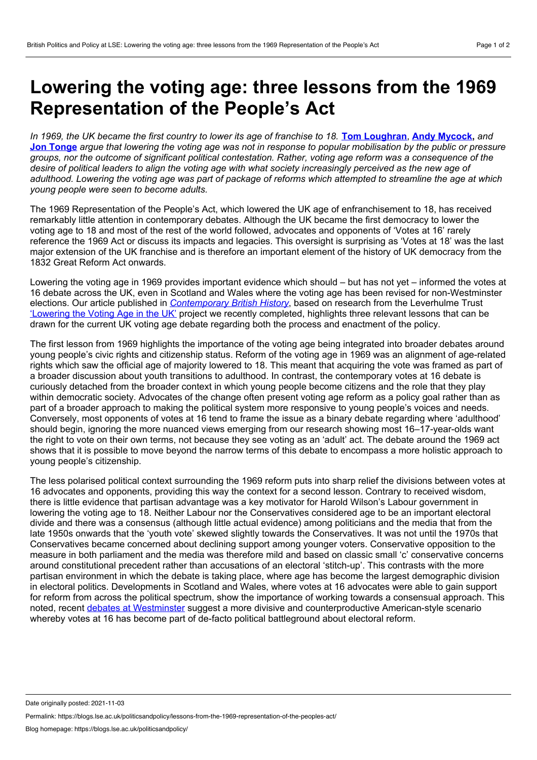## <span id="page-0-0"></span>**Lowering the voting age: three lessons from the 1969 Representation of the People's Act**

In 1969, the UK became the first country to lower its age of franchise to 18. Tom [Loughran](#page-0-0), Andy [Mycock](#page-0-0), and **Jon [Tonge](#page-0-0)** argue that lowering the voting age was not in response to popular mobilisation by the public or pressure groups, nor the outcome of significant political contestation. Rather, voting age reform was a consequence of the desire of political leaders to align the voting age with what society increasingly perceived as the new age of adulthood. Lowering the voting age was part of package of reforms which attempted to streamline the age at which *young people were seen to become adults.*

The 1969 Representation of the People's Act, which lowered the UK age of enfranchisement to 18, has received remarkably little attention in contemporary debates. Although the UK became the first democracy to lower the voting age to 18 and most of the rest of the world followed, advocates and opponents of 'Votes at 16' rarely reference the 1969 Act or discuss its impacts and legacies. This oversight is surprising as 'Votes at 18' was the last major extension of the UK franchise and is therefore an important element of the history of UK democracy from the 1832 Great Reform Act onwards.

Lowering the voting age in 1969 provides important evidence which should – but has not yet – informed the votes at 16 debate across the UK, even in Scotland and Wales where the voting age has been revised for non-Westminster elections. Our article published in *[Contemporary](https://www.tandfonline.com/doi/full/10.1080/13619462.2021.1890589) British History*, based on research from the Leverhulme Trust ['Lowering](https://www.ukvotingage.co.uk/) the Voting Age in the UK' project we recently completed, highlights three relevant lessons that can be drawn for the current UK voting age debate regarding both the process and enactment of the policy.

The first lesson from 1969 highlights the importance of the voting age being integrated into broader debates around young people's civic rights and citizenship status. Reform of the voting age in 1969 was an alignment of age-related rights which saw the official age of majority lowered to 18. This meant that acquiring the vote was framed as part of a broader discussion about youth transitions to adulthood. In contrast, the contemporary votes at 16 debate is curiously detached from the broader context in which young people become citizens and the role that they play within democratic society. Advocates of the change often present voting age reform as a policy goal rather than as part of a broader approach to making the political system more responsive to young people's voices and needs. Conversely, most opponents of votes at 16 tend to frame the issue as a binary debate regarding where 'adulthood' should begin, ignoring the more nuanced views emerging from our research showing most 16–17-year-olds want the right to vote on their own terms, not because they see voting as an 'adult' act. The debate around the 1969 act shows that it is possible to move beyond the narrow terms of this debate to encompass a more holistic approach to young people's citizenship.

The less polarised political context surrounding the 1969 reform puts into sharp relief the divisions between votes at 16 advocates and opponents, providing this way the context for a second lesson. Contrary to received wisdom, there is little evidence that partisan advantage was a key motivator for Harold Wilson's Labour government in lowering the voting age to 18. Neither Labour nor the Conservatives considered age to be an important electoral divide and there was a consensus (although little actual evidence) among politicians and the media that from the late 1950s onwards that the 'youth vote' skewed slightly towards the Conservatives. It was not until the 1970s that Conservatives became concerned about declining support among younger voters. Conservative opposition to the measure in both parliament and the media was therefore mild and based on classic small 'c' conservative concerns around constitutional precedent rather than accusations of an electoral 'stitch-up'. This contrasts with the more partisan environment in which the debate is taking place, where age has become the largest demographic division in electoral politics. Developments in Scotland and Wales, where votes at 16 advocates were able to gain support for reform from across the political spectrum, show the importance of working towards a consensual approach. This noted, recent debates at [Westminster](https://academic.oup.com/pa/article/74/3/522/6321305) suggest a more divisive and counterproductive American-style scenario whereby votes at 16 has become part of de-facto political battleground about electoral reform.

Date originally posted: 2021-11-03

Permalink: https://blogs.lse.ac.uk/politicsandpolicy/lessons-from-the-1969-representation-of-the-peoples-act/